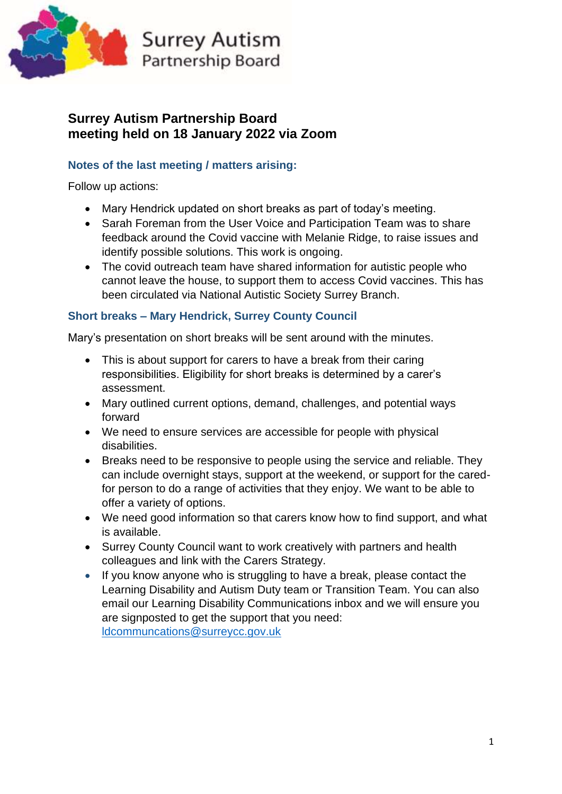

# **Surrey Autism Partnership Board meeting held on 18 January 2022 via Zoom**

## **Notes of the last meeting / matters arising:**

Follow up actions:

- Mary Hendrick updated on short breaks as part of today's meeting.
- Sarah Foreman from the User Voice and Participation Team was to share feedback around the Covid vaccine with Melanie Ridge, to raise issues and identify possible solutions. This work is ongoing.
- The covid outreach team have shared information for autistic people who cannot leave the house, to support them to access Covid vaccines. This has been circulated via National Autistic Society Surrey Branch.

# **Short breaks – Mary Hendrick, Surrey County Council**

Mary's presentation on short breaks will be sent around with the minutes.

- This is about support for carers to have a break from their caring responsibilities. Eligibility for short breaks is determined by a carer's assessment.
- Mary outlined current options, demand, challenges, and potential ways forward
- We need to ensure services are accessible for people with physical disabilities.
- Breaks need to be responsive to people using the service and reliable. They can include overnight stays, support at the weekend, or support for the caredfor person to do a range of activities that they enjoy. We want to be able to offer a variety of options.
- We need good information so that carers know how to find support, and what is available.
- Surrey County Council want to work creatively with partners and health colleagues and link with the Carers Strategy.
- If you know anyone who is struggling to have a break, please contact the Learning Disability and Autism Duty team or Transition Team. You can also email our Learning Disability Communications inbox and we will ensure you are signposted to get the support that you need: [ldcommuncations@surreycc.gov.uk](mailto:ldcommuncations@surreycc.gov.uk)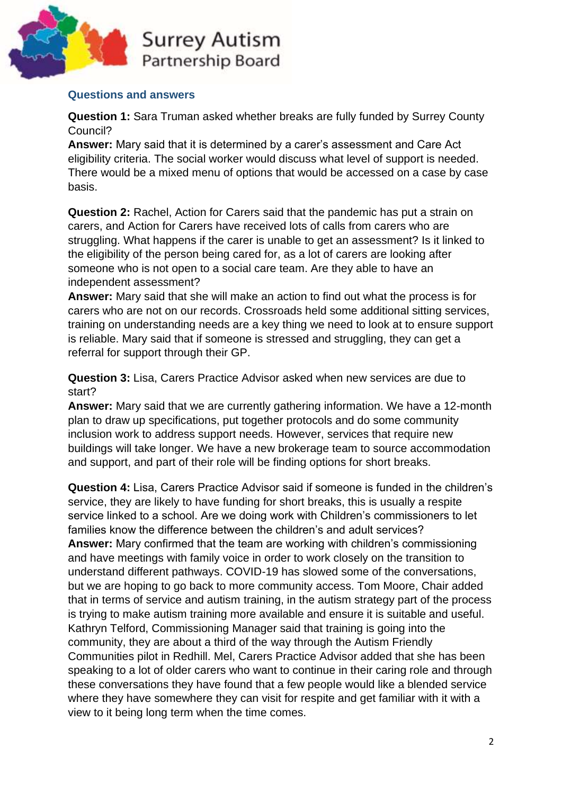

#### **Questions and answers**

**Question 1:** Sara Truman asked whether breaks are fully funded by Surrey County Council?

**Answer:** Mary said that it is determined by a carer's assessment and Care Act eligibility criteria. The social worker would discuss what level of support is needed. There would be a mixed menu of options that would be accessed on a case by case basis.

**Question 2:** Rachel, Action for Carers said that the pandemic has put a strain on carers, and Action for Carers have received lots of calls from carers who are struggling. What happens if the carer is unable to get an assessment? Is it linked to the eligibility of the person being cared for, as a lot of carers are looking after someone who is not open to a social care team. Are they able to have an independent assessment?

**Answer:** Mary said that she will make an action to find out what the process is for carers who are not on our records. Crossroads held some additional sitting services, training on understanding needs are a key thing we need to look at to ensure support is reliable. Mary said that if someone is stressed and struggling, they can get a referral for support through their GP.

**Question 3:** Lisa, Carers Practice Advisor asked when new services are due to start?

**Answer:** Mary said that we are currently gathering information. We have a 12-month plan to draw up specifications, put together protocols and do some community inclusion work to address support needs. However, services that require new buildings will take longer. We have a new brokerage team to source accommodation and support, and part of their role will be finding options for short breaks.

**Question 4:** Lisa, Carers Practice Advisor said if someone is funded in the children's service, they are likely to have funding for short breaks, this is usually a respite service linked to a school. Are we doing work with Children's commissioners to let families know the difference between the children's and adult services? **Answer:** Mary confirmed that the team are working with children's commissioning and have meetings with family voice in order to work closely on the transition to understand different pathways. COVID-19 has slowed some of the conversations, but we are hoping to go back to more community access. Tom Moore, Chair added that in terms of service and autism training, in the autism strategy part of the process is trying to make autism training more available and ensure it is suitable and useful. Kathryn Telford, Commissioning Manager said that training is going into the community, they are about a third of the way through the Autism Friendly Communities pilot in Redhill. Mel, Carers Practice Advisor added that she has been speaking to a lot of older carers who want to continue in their caring role and through these conversations they have found that a few people would like a blended service where they have somewhere they can visit for respite and get familiar with it with a view to it being long term when the time comes.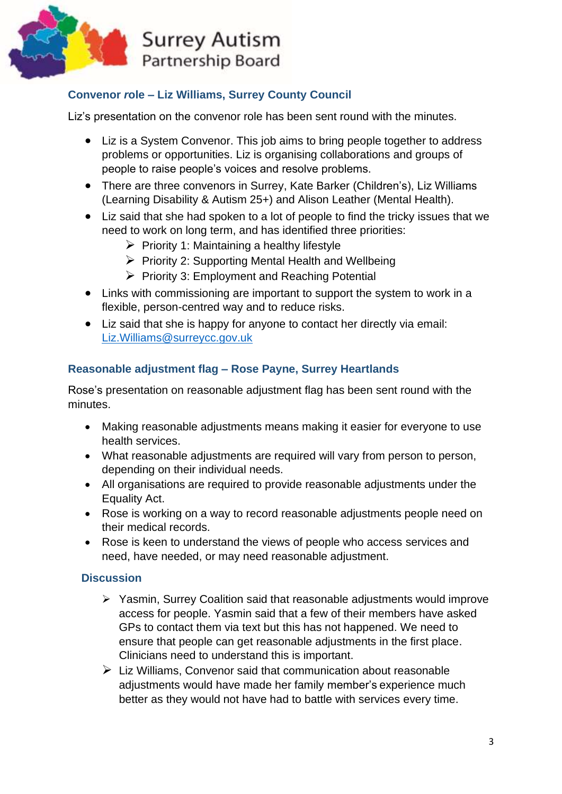

# **Convenor** *r***ole – Liz Williams, Surrey County Council**

Liz's presentation on the convenor role has been sent round with the minutes.

- Liz is a System Convenor. This job aims to bring people together to address problems or opportunities. Liz is organising collaborations and groups of people to raise people's voices and resolve problems.
- There are three convenors in Surrey, Kate Barker (Children's), Liz Williams (Learning Disability & Autism 25+) and Alison Leather (Mental Health).
- Liz said that she had spoken to a lot of people to find the tricky issues that we need to work on long term, and has identified three priorities:
	- $\triangleright$  Priority 1: Maintaining a healthy lifestyle
	- ➢ Priority 2: Supporting Mental Health and Wellbeing
	- ➢ Priority 3: Employment and Reaching Potential
- Links with commissioning are important to support the system to work in a flexible, person-centred way and to reduce risks.
- Liz said that she is happy for anyone to contact her directly via email: [Liz.Williams@surreycc.gov.uk](mailto:Liz.Williams@surreycc.gov.uk)

# **Reasonable adjustment flag – Rose Payne, Surrey Heartlands**

Rose's presentation on reasonable adjustment flag has been sent round with the minutes.

- Making reasonable adjustments means making it easier for everyone to use health services.
- What reasonable adjustments are required will vary from person to person, depending on their individual needs.
- All organisations are required to provide reasonable adjustments under the Equality Act.
- Rose is working on a way to record reasonable adjustments people need on their medical records.
- Rose is keen to understand the views of people who access services and need, have needed, or may need reasonable adjustment.

### **Discussion**

- ➢ Yasmin, Surrey Coalition said that reasonable adjustments would improve access for people. Yasmin said that a few of their members have asked GPs to contact them via text but this has not happened. We need to ensure that people can get reasonable adjustments in the first place. Clinicians need to understand this is important.
- ➢ Liz Williams, Convenor said that communication about reasonable adjustments would have made her family member's experience much better as they would not have had to battle with services every time.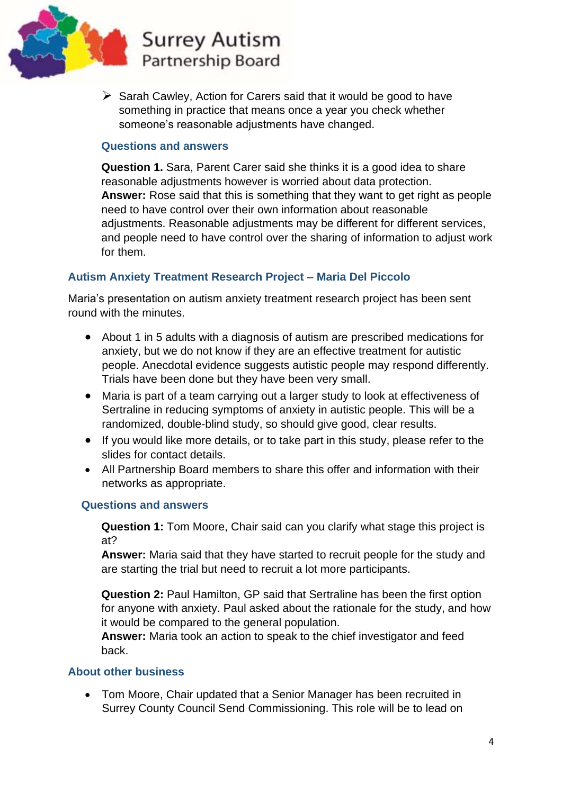

 $\triangleright$  Sarah Cawley, Action for Carers said that it would be good to have something in practice that means once a year you check whether someone's reasonable adjustments have changed.

### **Questions and answers**

**Question 1.** Sara, Parent Carer said she thinks it is a good idea to share reasonable adjustments however is worried about data protection. **Answer:** Rose said that this is something that they want to get right as people need to have control over their own information about reasonable adjustments. Reasonable adjustments may be different for different services, and people need to have control over the sharing of information to adjust work for them.

### **Autism Anxiety Treatment Research Project – Maria Del Piccolo**

Maria's presentation on autism anxiety treatment research project has been sent round with the minutes.

- About 1 in 5 adults with a diagnosis of autism are prescribed medications for anxiety, but we do not know if they are an effective treatment for autistic people. Anecdotal evidence suggests autistic people may respond differently. Trials have been done but they have been very small.
- Maria is part of a team carrying out a larger study to look at effectiveness of Sertraline in reducing symptoms of anxiety in autistic people. This will be a randomized, double-blind study, so should give good, clear results.
- If you would like more details, or to take part in this study, please refer to the slides for contact details.
- All Partnership Board members to share this offer and information with their networks as appropriate.

#### **Questions and answers**

**Question 1:** Tom Moore, Chair said can you clarify what stage this project is at?

**Answer:** Maria said that they have started to recruit people for the study and are starting the trial but need to recruit a lot more participants.

**Question 2:** Paul Hamilton, GP said that Sertraline has been the first option for anyone with anxiety. Paul asked about the rationale for the study, and how it would be compared to the general population.

**Answer:** Maria took an action to speak to the chief investigator and feed back.

#### **About other business**

• Tom Moore, Chair updated that a Senior Manager has been recruited in Surrey County Council Send Commissioning. This role will be to lead on